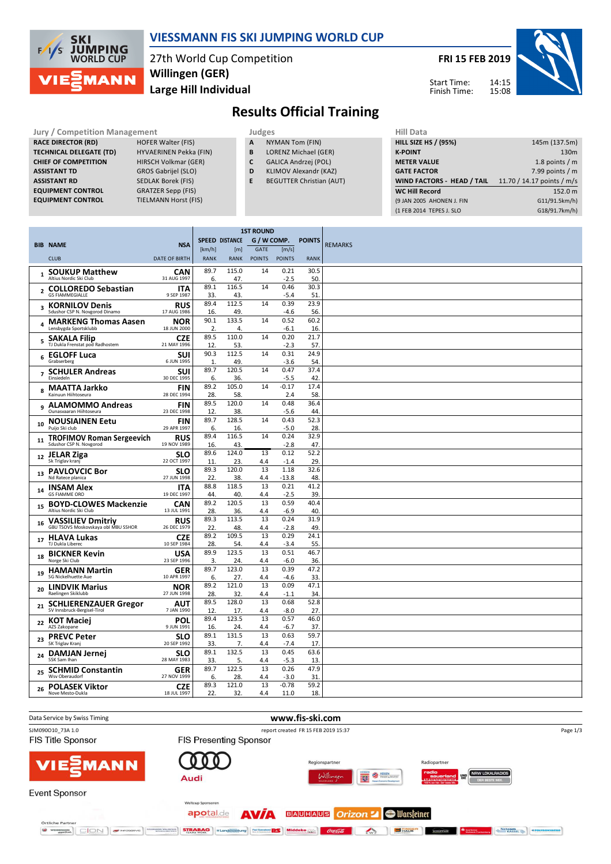

### **VIESSMANN FIS SKI JUMPING WORLD CUP**

27th World Cup Competition **Large Hill Individual Willingen (GER)**

**FRI 15 FEB 2019** 14:15 Start Time:

Finish Time:

15:08



## **Results Official Training**

**Jury / Competition Management Judges Hill Data**<br> **RACE DIRECTOR (RD)** HOFER Walter (FIS) **A** NYMAN Tom (FIN) **HILL SIZE HILL SIZE F RACE DIRECTOR (RD) TECHNICAL DELEGATE (TD)** HYVAERINEN Pekka (FIN) **CHIEF OF COMPETITION** HIRSCH Volkmar (GER) **ASSISTANT TD** GROS Gabrijel (SLO) **ASSISTANT RD** SEDLAK Borek (FIS)<br>**EQUIPMENT CONTROL** GRATZER Sepp (FIS) **EQUIPMENT CONTROL** GRATZER Sepp (FIS)<br>**EQUIPMENT CONTROL** TIELMANN Horst (FIS) **EQUIPMENT CONTROL** 

 $\ddot{\phantom{a}}$ 

- **A** NYMAN Tom (FIN)
- **B** LORENZ Michael (GER)
- **C** GALICA Andrzej (POL)
- **D** KLIMOV Alexandr (KAZ)
- **E** BEGUTTER Christian (AUT)

| 145m (137.5m)              |
|----------------------------|
| 130 <sub>m</sub>           |
| 1.8 points $/m$            |
| 7.99 points $/m$           |
| 11.70 / 14.17 points / m/s |
| 152.0 m                    |
| G11/91.5km/h)              |
| G18/91.7km/h)              |
|                            |

|                |                                                                 |                           | <b>1ST ROUND</b> |                       |               |                 |               |                |
|----------------|-----------------------------------------------------------------|---------------------------|------------------|-----------------------|---------------|-----------------|---------------|----------------|
|                | <b>BIB NAME</b>                                                 | <b>NSA</b>                |                  | <b>SPEED DISTANCE</b> | G / W COMP.   |                 | <b>POINTS</b> | <b>REMARKS</b> |
|                |                                                                 |                           | [km/h]           | [m]                   | GATE          | [m/s]           |               |                |
|                | <b>CLUB</b>                                                     | <b>DATE OF BIRTH</b>      | <b>RANK</b>      | <b>RANK</b>           | <b>POINTS</b> | <b>POINTS</b>   | <b>RANK</b>   |                |
|                | <b>SOUKUP Matthew</b>                                           | CAN                       | 89.7             | 115.0                 | 14            | 0.21            | 30.5          |                |
|                | Altius Nordic Ski Club                                          | 31 AUG 1997               | 6.               | 47.                   |               | $-2.5$          | 50.           |                |
| $\overline{2}$ | <b>COLLOREDO Sebastian</b><br><b>GS FIAMMEGIALLE</b>            | ITA<br>9 SEP 1987         | 89.1<br>33.      | 116.5<br>43           | 14            | 0.46<br>$-5.4$  | 30.3<br>51    |                |
|                | <b>KORNILOV Denis</b>                                           | <b>RUS</b>                | 89.4             | 112.5                 | 14            | 0.39            | 23.9          |                |
| 3              | Sdushor CSP N. Novgorod Dinamo                                  | 17 AUG 1986               | 16.              | 49                    |               | $-4.6$          | 56.           |                |
|                | <b>MARKENG Thomas Aasen</b><br>Lensbygda Sportsklubb            | <b>NOR</b><br>18 JUN 2000 | 90.1<br>2.       | 133.5<br>4.           | 14            | 0.52<br>$-6.1$  | 60.2<br>16.   |                |
|                | SAKALA Filip                                                    | <b>CZE</b>                | 89.5             | 110.0                 | 14            | 0.20            | 21.7          |                |
| 5              | TJ Dukla Frenstat pod Radhostem                                 | 21 MAY 1996               | 12.              | 53                    |               | $-2.3$          | 57.           |                |
| 6              | <b>EGLOFF Luca</b>                                              | SUI                       | 90.3             | 112.5                 | 14            | 0.31            | 24.9          |                |
|                | Grabserberg                                                     | 6 JUN 1995                | $\mathbf{1}$     | 49                    |               | $-3.6$          | 54.           |                |
|                | <b>SCHULER Andreas</b><br>Einsiedeln                            | SUI<br>30 DEC 1995        | 89.7<br>6.       | 120.5<br>36.          | 14            | 0.47<br>$-5.5$  | 37.4<br>42.   |                |
|                | <b>MAATTA Jarkko</b>                                            | <b>FIN</b>                | 89.2             | 105.0                 | 14            | $-0.17$         | 17.4          |                |
| 8              | Kainuun Hiihtoseura                                             | 28 DEC 1994               | 28.              | 58.                   |               | 2.4             | 58.           |                |
| 9              | <b>ALAMOMMO Andreas</b>                                         | <b>FIN</b>                | 89.5             | 120.0                 | 14            | 0.48            | 36.4          |                |
|                | Ounasvaaran Hiihtoseura                                         | 23 DEC 1998               | 12.              | 38.                   |               | $-5.6$          | 44.           |                |
| 10             | <b>NOUSIAINEN Eetu</b><br>Puijo Ski club                        | <b>FIN</b><br>29 APR 1997 | 89.7             | 128.5                 | 14            | 0.43            | 52.3          |                |
|                |                                                                 | <b>RUS</b>                | 6.<br>89.4       | 16.<br>116.5          | 14            | $-5.0$<br>0.24  | 28.<br>32.9   |                |
| 11             | <b>TROFIMOV Roman Sergeevich</b><br>Sdushor CSP N. Novgorod     | 19 NOV 1989               | 16.              | 43.                   |               | $-2.8$          | 47.           |                |
| 12             | JELAR Ziga                                                      | <b>SLO</b>                | 89.6             | 124.0                 | 13            | 0.12            | 52.2          |                |
|                | Sk Triglav kranj                                                | 22 OCT 1997               | 11               | 23                    | 4.4           | $-1.4$          | 29.           |                |
| 13             | <b>PAVLOVCIC Bor</b><br>Nd Ratece planica                       | <b>SLO</b><br>27 JUN 1998 | 89.3<br>22.      | 120.0<br>38.          | 13<br>4.4     | 1.18<br>$-13.8$ | 32.6<br>48.   |                |
|                | <b>INSAM Alex</b>                                               | ITA                       | 88.8             | 118.5                 | 13            | 0.21            | 41.2          |                |
| 14             | <b>GS FIAMME ORO</b>                                            | 19 DEC 1997               | 44.              | 40.                   | 4.4           | $-2.5$          | 39.           |                |
| 15             | <b>BOYD-CLOWES Mackenzie</b>                                    | CAN                       | 89.2             | 120.5                 | 13            | 0.59            | 40.4          |                |
|                | Altius Nordic Ski Club                                          | 13 JUL 1991               | 28.              | 36.                   | 4.4           | $-6.9$          | 40.           |                |
| 16             | <b>VASSILIEV Dmitriy</b><br>GBU TSOVS Moskovskaya obl MBU SSHOR | <b>RUS</b><br>26 DEC 1979 | 89.3<br>22.      | 113.5<br>48.          | 13<br>4.4     | 0.24<br>$-2.8$  | 31.9<br>49.   |                |
|                |                                                                 | <b>CZE</b>                | 89.2             | 109.5                 | 13            | 0.29            | 24.1          |                |
| 17             | <b>HLAVA Lukas</b><br>TJ Dukla Liberec                          | 10 SEP 1984               | 28               | 54.                   | 4.4           | $-3.4$          | 55.           |                |
| 18             | <b>BICKNER Kevin</b>                                            | <b>USA</b>                | 89.9             | 123.5                 | 13            | 0.51            | 46.7          |                |
|                | Norge Ski Club                                                  | 23 SEP 1996               | 3.               | 24.                   | 4.4           | $-6.0$          | 36.           |                |
| 19             | <b>HAMANN Martin</b><br>SG Nickelhuette Aue                     | <b>GER</b><br>10 APR 1997 | 89.7<br>6.       | 123.0<br>27.          | 13<br>4.4     | 0.39<br>$-4.6$  | 47.2<br>33.   |                |
| 20             | <b>LINDVIK Marius</b>                                           | NOR                       | 89.2             | 121.0                 | 13            | 0.09            | 47.1          |                |
|                | Raelingen Skiklubb                                              | 27 JUN 1998               | 28.              | 32.                   | 4.4           | $-1.1$          | 34.           |                |
| 21             | <b>SCHLIERENZAUER Gregor</b><br>SV Innsbruck-Bergisel-Tirol     | AUT<br>7 JAN 1990         | 89.5<br>12       | 128.0<br>17.          | 13<br>4.4     | 0.68<br>$-8.0$  | 52.8<br>27.   |                |
|                | <b>KOT Maciej</b>                                               | POL                       | 89.4             | 123.5                 | 13            | 0.57            | 46.0          |                |
| 22             | AZS Zakopane                                                    | 9 JUN 1991                | 16.              | 24.                   | 4.4           | $-6.7$          | 37.           |                |
| 23             | <b>PREVC Peter</b><br>SK Triglav Kranj                          | SLO<br>20 SEP 1992        | 89.1<br>33.      | 131.5<br>7.           | 13<br>4.4     | 0.63<br>$-7.4$  | 59.7<br>17.   |                |
|                | <b>DAMJAN Jernej</b>                                            | SLO                       | 89.1             | 132.5                 | 13            | 0.45            | 63.6          |                |
| 24             | SSK Sam Ihan                                                    | 28 MAY 1983               | 33.              | 5.                    | 4.4           | $-5.3$          | 13.           |                |
| 25             | <b>SCHMID Constantin</b>                                        | <b>GER</b>                | 89.7             | 122.5                 | 13            | 0.26            | 47.9          |                |
|                | Wsy Oberaudorf                                                  | 27 NOV 1999               | 6.               | 28.                   | 4.4           | $-3.0$          | 31            |                |
| 26             | <b>POLASEK Viktor</b><br>Nove Mesto-Dukla                       | <b>CZE</b><br>18 JUL 1997 | 89.3<br>22       | 121.0<br>32           | 13<br>4.4     | $-0.78$<br>11.0 | 59.2<br>18.   |                |
|                |                                                                 |                           |                  |                       |               |                 |               |                |

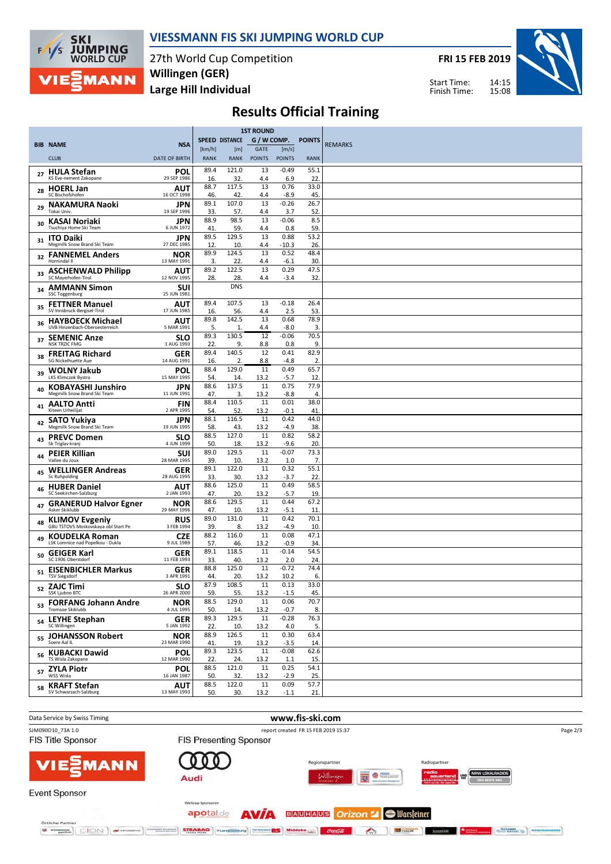

### **VIESSMANN FIS SKI JUMPING WORLD CUP**

27th World Cup Competition **Large Hill Individual Willingen (GER)**

**FRI 15 FEB 2019**

14:15 15:08 Start Time: Finish Time:



# **Results Official Training**

|    |                                                              |                           |             |                       | <b>1ST ROUND</b> |                   |               |                |
|----|--------------------------------------------------------------|---------------------------|-------------|-----------------------|------------------|-------------------|---------------|----------------|
|    | <b>BIB NAME</b>                                              | <b>NSA</b>                |             | <b>SPEED DISTANCE</b> | G / W COMP.      |                   | <b>POINTS</b> | <b>REMARKS</b> |
|    |                                                              |                           | [km/h]      | [m]                   | GATE             | [m/s]             |               |                |
|    | <b>CLUB</b>                                                  | <b>DATE OF BIRTH</b>      | <b>RANK</b> | <b>RANK</b>           | <b>POINTS</b>    | <b>POINTS</b>     | <b>RANK</b>   |                |
| 27 | <b>HULA Stefan</b><br>KS Eve-nement Zakopane                 | POL<br>29 SEP 1986        | 89.4<br>16. | 121.0<br>32           | 13<br>4.4        | $-0.49$<br>6.9    | 55.1<br>22.   |                |
| 28 | <b>HOERL Jan</b>                                             | AUT                       | 88.7        | 117.5                 | 13               | 0.76              | 33.0          |                |
|    | SC Bischofshofen                                             | 16 OCT 1998               | 46.         | 42                    | 4.4              | $-8.9$            | 45.           |                |
| 29 | <b>NAKAMURA Naoki</b><br>Tokai Univ.                         | JPN<br>19 SEP 1996        | 89.1<br>33. | 107.0<br>57.          | 13<br>4.4        | $-0.26$<br>3.7    | 26.7<br>52.   |                |
| 30 | KASAI Noriaki                                                | JPN                       | 88.9        | 98.5                  | 13               | $-0.06$           | 8.5           |                |
|    | Tsuchiya Home Ski Team                                       | 6 JUN 1972<br>JPN         | 41<br>89.5  | 59.<br>129.5          | 4.4<br>13        | 0.8<br>0.88       | 59.<br>53.2   |                |
| 31 | <b>ITO Daiki</b><br>Megmilk Snow Brand Ski Team              | 27 DEC 1985               | 12.         | 10.                   | 4.4              | $-10.3$           | 26.           |                |
| 32 | <b>FANNEMEL Anders</b><br>Hornindal II                       | <b>NOR</b><br>13 MAY 1991 | 89.9<br>3.  | 124.5<br>22           | 13<br>4.4        | 0.52<br>$-6.1$    | 48.4<br>30.   |                |
| 33 | <b>ASCHENWALD Philipp</b>                                    | AUT                       | 89.2        | 122.5                 | 13               | 0.29              | 47.5          |                |
|    | SC Mayerhofen-Tirol                                          | 12 NOV 1995               | 28.         | 28.<br><b>DNS</b>     | 4.4              | $-3.4$            | 32.           |                |
| 34 | <b>AMMANN Simon</b><br><b>SSC Toggenburg</b>                 | <b>SUI</b><br>25 JUN 1981 |             |                       |                  |                   |               |                |
| 35 | <b>FETTNER Manuel</b><br>SV Innsbruck-Bergisel-Tirol         | AUT<br>17 JUN 1985        | 89.4        | 107.5                 | 13               | $-0.18$           | 26.4          |                |
|    | <b>HAYBOECK Michael</b>                                      | AUT                       | 16.<br>89.8 | 56.<br>142.5          | 4.4<br>13        | 2.5<br>0.68       | 53.<br>78.9   |                |
| 36 | UVB Hinzenbach-Oberoesterreich                               | 5 MAR 1991                | 5.          | 1.                    | 4.4              | -8.0              | 3.            |                |
| 37 | <b>SEMENIC Anze</b><br><b>NSK TRZIC FMG</b>                  | <b>SLO</b><br>1 AUG 1993  | 89.3<br>22. | 130.5<br>9.           | 12<br>8.8        | $-0.06$<br>0.8    | 70.5<br>9.    |                |
| 38 | <b>FREITAG Richard</b>                                       | GER                       | 89.4        | 140.5                 | 12               | 0.41              | 82.9          |                |
|    | SG Nickelhuette Aue<br><b>WOLNY Jakub</b>                    | 14 AUG 1991<br>POL        | 16.<br>88.4 | 2.<br>129.0           | 8.8<br>11        | -4.8<br>0.49      | 2.<br>65.7    |                |
| 39 | LKS Klimczok Bystra                                          | 15 MAY 1995               | 54.         | 14.                   | 13.2             | $-5.7$            | 12.           |                |
| 40 | <b>KOBAYASHI Junshiro</b><br>Megmilk Snow Brand Ski Team     | JPN<br>11 JUN 1991        | 88.6<br>47. | 137.5<br>3.           | 11<br>13.2       | 0.75<br>-8.8      | 77.9<br>4.    |                |
| 41 | <b>AALTO Antti</b>                                           | <b>FIN</b>                | 88.4        | 110.5                 | 11               | 0.01              | 38.0          |                |
|    | Kiteen Urheilijat                                            | 2 APR 1995                | 54.<br>88.1 | 52<br>116.5           | 13.2<br>11       | $-0.1$<br>0.42    | 41<br>44.0    |                |
| 42 | <b>SATO Yukiya</b><br>Megmilk Snow Brand Ski Team            | JPN<br>19 JUN 1995        | 58.         | 43.                   | 13.2             | $-4.9$            | 38.           |                |
| 43 | <b>PREVC Domen</b><br>Sk Triglav kranj                       | SLO<br>4 JUN 1999         | 88.5        | 127.0                 | 11               | 0.82              | 58.2          |                |
|    | <b>PEIER Killian</b>                                         | <b>SUI</b>                | 50.<br>89.0 | 18.<br>129.5          | 13.2<br>11       | $-9.6$<br>$-0.07$ | 20.<br>73.3   |                |
| 44 | Vallee du Joux                                               | 28 MAR 1995               | 39.         | 10.                   | 13.2             | 1.0               | 7.            |                |
| 45 | <b>WELLINGER Andreas</b><br>Sc Ruhpolding                    | GER<br>28 AUG 1995        | 89.1<br>33. | 122.0<br>30.          | 11<br>13.2       | 0.32<br>-3.7      | 55.1<br>22.   |                |
| 46 | <b>HUBER Daniel</b>                                          | AUT                       | 88.6        | 125.0                 | 11               | 0.49              | 58.5          |                |
|    | SC Seekirchen-Salzburg<br><b>GRANERUD Halvor Egner</b>       | 2 JAN 1993<br>NOR         | 47.<br>88.6 | 20.<br>129.5          | 13.2<br>11       | -5.7<br>0.44      | 19.<br>67.2   |                |
| 47 | Asker Skiklubb                                               | 29 MAY 1996               | 47.         | 10.                   | 13.2             | -5.1              | 11            |                |
| 48 | <b>KLIMOV Evgeniy</b><br>GBU TSTOVS Moskovskaya obl Start Pe | <b>RUS</b><br>3 FEB 1994  | 89.0<br>39. | 131.0<br>8.           | 11<br>13.2       | 0.42<br>$-4.9$    | 70.1<br>10.   |                |
| 49 | <b>KOUDELKA Roman</b>                                        | <b>CZE</b>                | 88.2        | 116.0                 | 11               | 0.08              | 47.1          |                |
|    | LSK Lomnice nad Popelkou - Dukla                             | 9 JUL 1989                | 57.<br>89.1 | 46.<br>118.5          | 13.2<br>11       | $-0.9$<br>$-0.14$ | 34.<br>54.5   |                |
| 50 | <b>GEIGER Karl</b><br>SC 1906 Oberstdorf                     | <b>GER</b><br>11 FEB 1993 | 33.         | 40.                   | 13.2             | 2.0               | 24.           |                |
| 51 | <b>EISENBICHLER Markus</b><br><b>TSV Siegsdorf</b>           | GER<br>3 APR 1991         | 88.8<br>44. | 125.0<br>20.          | 11<br>13.2       | $-0.72$<br>10.2   | 74.4<br>6.    |                |
|    | <sub>52</sub> ZAJC Timi                                      | <b>SLO</b>                | 87.9        | 108.5                 | 11               | 0.13              | 33.0          |                |
|    | SSK Ljubno BTC                                               | 26 APR 2000               | 59.         | 55.                   | 13.2             | $-1.5$            | 45.           |                |
| 53 | <b>FORFANG Johann Andre</b><br><b>Tromsoe Skiklubb</b>       | <b>NOR</b><br>4 JUL 1995  | 88.5<br>50. | 129.0<br>14.          | 11<br>13.2       | 0.06<br>$-0.7$    | 70.7<br>8.    |                |
|    | <sub>54</sub> LEYHE Stephan                                  | <b>GER</b>                | 89.3        | 129.5                 | 11               | $-0.28$           | 76.3          |                |
|    | SC Willingen<br><b>JOHANSSON Robert</b>                      | 5 JAN 1992<br><b>NOR</b>  | 22.<br>88.9 | 10.<br>126.5          | 13.2<br>11       | 4.0<br>0.30       | 5.<br>63.4    |                |
| 55 | Soere Aal IL                                                 | 23 MAR 1990               | 41          | 19.                   | 13.2             | $-3.5$            | 14.           |                |
| 56 | <b>KUBACKI Dawid</b><br>TS Wisla Zakopane                    | POL<br>12 MAR 1990        | 89.3<br>22. | 123.5<br>24.          | 11<br>13.2       | $-0.08$<br>1.1    | 62.6<br>15.   |                |
|    | <sub>57</sub> ZYLA Piotr                                     | POL                       | 88.5        | 121.0                 | 11               | 0.25              | 54.1          |                |
|    | WSS Wisla                                                    | 16 JAN 1987               | 50.<br>88.5 | 32.<br>122.0          | 13.2<br>11       | $-2.9$<br>0.09    | 25.<br>57.7   |                |
| 58 | <b>KRAFT Stefan</b><br>SV Schwarzach-Salzburg                | AUT<br>13 MAY 1993        | 50.         | 30.                   | 13.2             | $-1.1$            | 21.           |                |